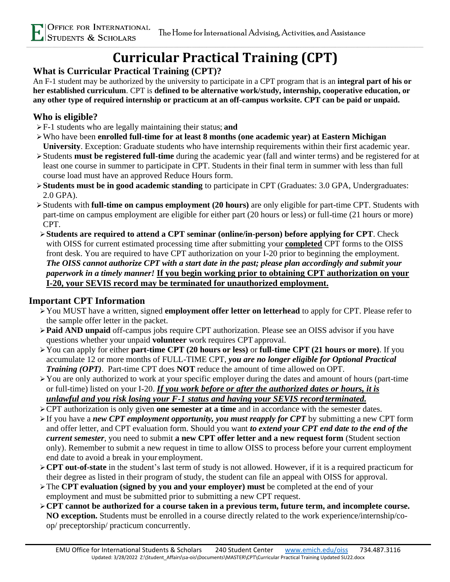# **Curricular Practical Training (CPT)**

# **What is Curricular Practical Training (CPT)?**

An F-1 student may be authorized by the university to participate in a CPT program that is an **integral part of his or her established curriculum**. CPT is **defined to be alternative work/study, internship, cooperative education, or any other type of required internship or practicum at an off-campus worksite. CPT can be paid or unpaid.**

### **Who is eligible?**

- ➢F-1 students who are legally maintaining their status; **and**
- ➢Who have been **enrolled full-time for at least 8 months (one academic year) at Eastern Michigan University**. Exception: Graduate students who have internship requirements within their first academic year.
- ➢Students **must be registered full-time** during the academic year (fall and winter terms) and be registered for at least one course in summer to participate in CPT. Students in their final term in summer with less than full course load must have an approved Reduce Hours form.
- ➢**Students must be in good academic standing** to participate in CPT (Graduates: 3.0 GPA, Undergraduates: 2.0 GPA).
- ➢Students with **full-time on campus employment (20 hours)** are only eligible for part-time CPT. Students with part-time on campus employment are eligible for either part (20 hours or less) or full-time (21 hours or more) CPT.
- ➢**Students are required to attend a CPT seminar (online/in-person) before applying for CPT**. Check with OISS for current estimated processing time after submitting your **completed** CPT forms to the OISS front desk. You are required to have CPT authorization on your I-20 prior to beginning the employment. *The OISS cannot authorize CPT with a start date in the past; please plan accordingly and submit your paperwork in a timely manner!* **If you begin working prior to obtaining CPT authorization on your I-20, your SEVIS record may be terminated for unauthorized employment.**

### **Important CPT Information**

- ➢You MUST have a written, signed **employment offer letter on letterhead** to apply for CPT. Please refer to the sample offer letter in the packet.
- ➢**Paid AND unpaid** off-campus jobs require CPT authorization. Please see an OISS advisor if you have questions whether your unpaid **volunteer** work requires CPT approval.
- ➢You can apply for either **part-time CPT (20 hours or less)** or **full-time CPT (21 hours or more)**. If you accumulate 12 or more months of FULL-TIME CPT, *you are no longer eligible for Optional Practical Training (OPT)*. Part-time CPT does **NOT** reduce the amount of time allowed on OPT.
- ➢You are only authorized to work at your specific employer during the dates and amount of hours (part-time or full-time) listed on your I-20. *If you work before or after the authorized dates or hours, it is unlawful and you risk losing your F-1 status and having your SEVIS record terminated.*
- ➢CPT authorization is only given **one semester at a time** and in accordance with the semester dates.
- ➢If you have a *new CPT employment opportunity, you must reapply for CPT* by submitting a new CPT form and offer letter, and CPT evaluation form. Should you want *to extend your CPT end date to the end of the current semester*, you need to submit **a new CPT offer letter and a new request form** (Student section only). Remember to submit a new request in time to allow OISS to process before your current employment end date to avoid a break in your employment.
- ➢**CPT out-of-state** in the student's last term of study is not allowed. However, if it is a required practicum for their degree as listed in their program of study, the student can file an appeal with OISS for approval.
- ➢The **CPT evaluation (signed by you and your employer) must** be completed at the end of your employment and must be submitted prior to submitting a new CPT request.
- ➢**CPT cannot be authorized for a course taken in a previous term, future term, and incomplete course. NO exception.** Students must be enrolled in a course directly related to the work experience/internship/coop/ preceptorship/ practicum concurrently.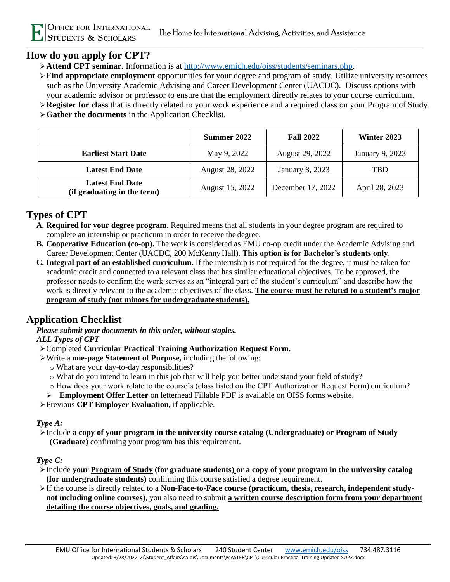## **How do you apply for CPT?**

- ➢**Attend CPT seminar.** Information is at [http://www.emich.edu/oiss/students/seminars.php.](http://www.emich.edu/oiss/students/seminars.php)
- ➢**Find appropriate employment** opportunities for your degree and program of study. Utilize university resources such as the University Academic Advising and Career Development Center (UACDC). Discuss options with your academic advisor or professor to ensure that the employment directly relates to your course curriculum.
- ➢**Register for class** that is directly related to your work experience and a required class on your Program of Study.
- ➢**Gather the documents** in the Application Checklist.

|                                                       | Summer 2022     | <b>Fall 2022</b>  | Winter 2023     |
|-------------------------------------------------------|-----------------|-------------------|-----------------|
| <b>Earliest Start Date</b>                            | May 9, 2022     | August 29, 2022   | January 9, 2023 |
| <b>Latest End Date</b>                                | August 28, 2022 | January 8, 2023   | <b>TBD</b>      |
| <b>Latest End Date</b><br>(if graduating in the term) | August 15, 2022 | December 17, 2022 | April 28, 2023  |

# **Types of CPT**

- **A. Required for your degree program.** Required means that all students in your degree program are required to complete an internship or practicum in order to receive the degree.
- **B. Cooperative Education (co-op).** The work is considered as EMU co-op credit under the Academic Advising and Career Development Center (UACDC, 200 McKenny Hall). **This option is for Bachelor's students only**.
- **C. Integral part of an established curriculum.** If the internship is not required for the degree, it must be taken for academic credit and connected to a relevant class that has similar educational objectives. To be approved, the professor needs to confirm the work serves as an "integral part of the student's curriculum" and describe how the work is directly relevant to the academic objectives of the class. **The course must be related to a student's major program of study (not minors for undergraduate students).**

# **Application Checklist**

*Please submit your documents in this order, without staples.*

#### *ALL Types of CPT*

- ➢Completed **Curricular Practical Training Authorization Request Form.**
- ➢Write a **one-page Statement of Purpose,** including the following:
	- o What are your day-to-day responsibilities?
	- $\circ$  What do you intend to learn in this job that will help you better understand your field of study?
	- o How does your work relate to the course's (class listed on the CPT Authorization Request Form) curriculum?
	- ➢ **Employment Offer Letter** on letterhead Fillable PDF is available on OISS forms website.
- ➢Previous **CPT Employer Evaluation,** if applicable.

#### *Type A:*

➢Include **a copy of your program in the university course catalog (Undergraduate) or Program of Study (Graduate)** confirming your program has thisrequirement.

#### *Type C:*

- ➢Include **your Program of Study (for graduate students) or a copy of your program in the university catalog (for undergraduate students)** confirming this course satisfied a degree requirement.
- ➢If the course is directly related to a **Non-Face-to-Face course (practicum, thesis, research, independent studynot including online courses)**, you also need to submit **a written course description form from your department detailing the course objectives, goals, and grading.**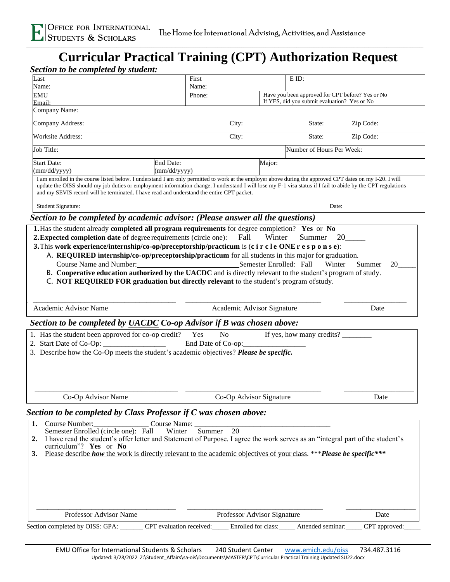# **Curricular Practical Training (CPT) Authorization Request**

| Section to be completed by student:<br>Last                                                                                                                                                                                                                                                                                                                                                                                                                                                                                    |                  | First                                  |                            | E ID:                                            |              |
|--------------------------------------------------------------------------------------------------------------------------------------------------------------------------------------------------------------------------------------------------------------------------------------------------------------------------------------------------------------------------------------------------------------------------------------------------------------------------------------------------------------------------------|------------------|----------------------------------------|----------------------------|--------------------------------------------------|--------------|
| Name:                                                                                                                                                                                                                                                                                                                                                                                                                                                                                                                          |                  | Name:                                  |                            |                                                  |              |
| <b>EMU</b>                                                                                                                                                                                                                                                                                                                                                                                                                                                                                                                     |                  |                                        |                            | Have you been approved for CPT before? Yes or No |              |
| Email:                                                                                                                                                                                                                                                                                                                                                                                                                                                                                                                         |                  | Phone:                                 |                            | If YES, did you submit evaluation? Yes or No     |              |
| Company Name:                                                                                                                                                                                                                                                                                                                                                                                                                                                                                                                  |                  |                                        |                            |                                                  |              |
| Company Address:                                                                                                                                                                                                                                                                                                                                                                                                                                                                                                               |                  | City:                                  |                            | State:                                           | Zip Code:    |
|                                                                                                                                                                                                                                                                                                                                                                                                                                                                                                                                |                  |                                        |                            |                                                  |              |
| <b>Worksite Address:</b>                                                                                                                                                                                                                                                                                                                                                                                                                                                                                                       |                  | City:                                  |                            | State:                                           | Zip Code:    |
| Job Title:                                                                                                                                                                                                                                                                                                                                                                                                                                                                                                                     |                  |                                        |                            | Number of Hours Per Week:                        |              |
| <b>Start Date:</b><br>(mm/dd/yyyy)                                                                                                                                                                                                                                                                                                                                                                                                                                                                                             | <b>End Date:</b> | (mm/dd/yyyy)                           | Major:                     |                                                  |              |
| I am enrolled in the course listed below. I understand I am only permitted to work at the employer above during the approved CPT dates on my I-20. I will<br>update the OISS should my job duties or employment information change. I understand I will lose my F-1 visa status if I fail to abide by the CPT regulations<br>and my SEVIS record will be terminated. I have read and understand the entire CPT packet.<br>Student Signature:<br>Section to be completed by academic advisor: (Please answer all the questions) |                  |                                        |                            | Date:                                            |              |
| A. REQUIRED internship/co-op/preceptorship/practicum for all students in this major for graduation.<br><b>Course Name and Number:</b>                                                                                                                                                                                                                                                                                                                                                                                          |                  |                                        |                            |                                                  |              |
| B. Cooperative education authorized by the UACDC and is directly relevant to the student's program of study.<br>C. NOT REQUIRED FOR graduation but directly relevant to the student's program of study.                                                                                                                                                                                                                                                                                                                        |                  |                                        | Semester Enrolled: Fall    | Winter                                           | 20<br>Summer |
|                                                                                                                                                                                                                                                                                                                                                                                                                                                                                                                                |                  |                                        | Academic Advisor Signature |                                                  | Date         |
|                                                                                                                                                                                                                                                                                                                                                                                                                                                                                                                                |                  |                                        |                            |                                                  |              |
|                                                                                                                                                                                                                                                                                                                                                                                                                                                                                                                                |                  |                                        |                            |                                                  |              |
|                                                                                                                                                                                                                                                                                                                                                                                                                                                                                                                                |                  | Yes<br>No                              |                            | If yes, how many credits?                        |              |
|                                                                                                                                                                                                                                                                                                                                                                                                                                                                                                                                |                  | End Date of Co-op:                     |                            |                                                  |              |
| Co-Op Advisor Name                                                                                                                                                                                                                                                                                                                                                                                                                                                                                                             |                  |                                        | Co-Op Advisor Signature    |                                                  | Date         |
| Academic Advisor Name<br>Section to be completed by <u>UACDC</u> Co-op Advisor if B was chosen above:<br>1. Has the student been approved for co-op credit?<br>2. Start Date of Co-Op: _<br>3. Describe how the Co-Op meets the student's academic objectives? Please be specific.                                                                                                                                                                                                                                             |                  |                                        |                            |                                                  |              |
| Section to be completed by Class Professor if C was chosen above:<br>1.<br>Course Number:<br>Semester Enrolled (circle one): Fall<br>I have read the student's offer letter and Statement of Purpose. I agree the work serves as an "integral part of the student's<br>2.<br>curriculum"? Yes or No<br>Please describe how the work is directly relevant to the academic objectives of your class. ***Please be specific***<br>3.                                                                                              |                  | Course Name:<br>Summer<br>20<br>Winter |                            |                                                  |              |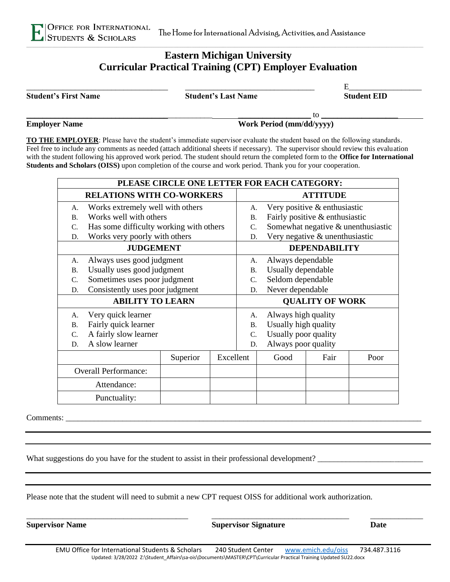## **Eastern Michigan University Curricular Practical Training (CPT) Employer Evaluation**

**Student's First Name Student's Last Name Student EID**

\_\_\_\_\_\_\_\_\_\_\_\_\_\_\_\_\_\_\_\_\_\_\_\_\_\_\_\_\_\_\_\_\_\_\_ \_\_\_\_\_\_\_\_\_\_\_\_\_\_\_\_\_\_\_\_\_\_\_\_\_\_\_\_\_\_\_\_ E\_\_\_\_\_\_\_\_\_\_\_\_\_\_\_\_\_\_

 $\mathop{\text{to}}$ 

**Employer Name Work Period (mm/dd/yyyy)** 

**TO THE EMPLOYER**: Please have the student's immediate supervisor evaluate the student based on the following standards. Feel free to include any comments as needed (attach additional sheets if necessary). The supervisor should review this evaluation with the student following his approved work period. The student should return the completed form to the **Office for International Students and Scholars (OISS)** upon completion of the course and work period. Thank you for your cooperation.

| PLEASE CIRCLE ONE LETTER FOR EACH CATEGORY: |                                         |                      |                 |                                    |                                    |                        |      |
|---------------------------------------------|-----------------------------------------|----------------------|-----------------|------------------------------------|------------------------------------|------------------------|------|
| <b>RELATIONS WITH CO-WORKERS</b>            |                                         |                      | <b>ATTITUDE</b> |                                    |                                    |                        |      |
| Works extremely well with others<br>A.      |                                         |                      |                 | Very positive & enthusiastic<br>A. |                                    |                        |      |
| <b>B.</b>                                   | Works well with others                  |                      |                 | <b>B.</b>                          | Fairly positive & enthusiastic     |                        |      |
| C.                                          | Has some difficulty working with others |                      | $C_{\cdot}$     |                                    | Somewhat negative & unenthusiastic |                        |      |
| D.                                          | Works very poorly with others           |                      | D.              |                                    | Very negative & unenthusiastic     |                        |      |
| <b>JUDGEMENT</b>                            |                                         | <b>DEPENDABILITY</b> |                 |                                    |                                    |                        |      |
| А.                                          | Always uses good judgment               |                      |                 | A.                                 | Always dependable                  |                        |      |
| <b>B.</b>                                   | Usually uses good judgment              |                      | <b>B.</b>       | Usually dependable                 |                                    |                        |      |
| C.                                          | Sometimes uses poor judgment            |                      | C.              | Seldom dependable                  |                                    |                        |      |
| D.                                          | Consistently uses poor judgment         |                      |                 | D.                                 | Never dependable                   |                        |      |
|                                             | <b>ABILITY TO LEARN</b>                 |                      |                 |                                    |                                    | <b>QUALITY OF WORK</b> |      |
| А.                                          | Very quick learner                      |                      |                 | А.                                 | Always high quality                |                        |      |
| <b>B.</b>                                   | Fairly quick learner                    |                      |                 | <b>B.</b>                          | Usually high quality               |                        |      |
| C.                                          | A fairly slow learner                   |                      |                 | C.                                 | Usually poor quality               |                        |      |
| D.                                          | A slow learner                          |                      |                 | D.                                 | Always poor quality                |                        |      |
|                                             |                                         | Superior             | Excellent       |                                    | Good                               | Fair                   | Poor |
|                                             | <b>Overall Performance:</b>             |                      |                 |                                    |                                    |                        |      |
|                                             | Attendance:                             |                      |                 |                                    |                                    |                        |      |
|                                             | Punctuality:                            |                      |                 |                                    |                                    |                        |      |

Comments: \_\_\_\_\_\_\_\_\_\_\_\_\_\_\_\_\_\_\_\_\_\_\_\_\_\_\_\_\_\_\_\_\_\_\_\_\_\_\_\_\_\_\_\_\_\_\_\_\_\_\_\_\_\_\_\_\_\_\_\_\_\_\_\_\_\_\_\_\_\_\_\_\_\_\_\_\_\_\_\_\_\_\_\_\_\_\_\_

What suggestions do you have for the student to assist in their professional development?

Please note that the student will need to submit a new CPT request OISS for additional work authorization.

**Supervisor Name Supervisor Signature Date**

\_\_\_\_\_\_\_\_\_\_\_\_\_\_\_\_\_\_\_\_\_\_\_\_\_\_\_\_\_\_\_\_\_\_\_\_\_\_\_\_ \_\_\_\_\_\_\_\_\_\_\_\_\_\_\_\_\_\_\_\_\_\_\_\_\_\_\_\_\_\_\_\_\_\_ \_\_\_\_\_\_\_\_\_\_\_\_\_